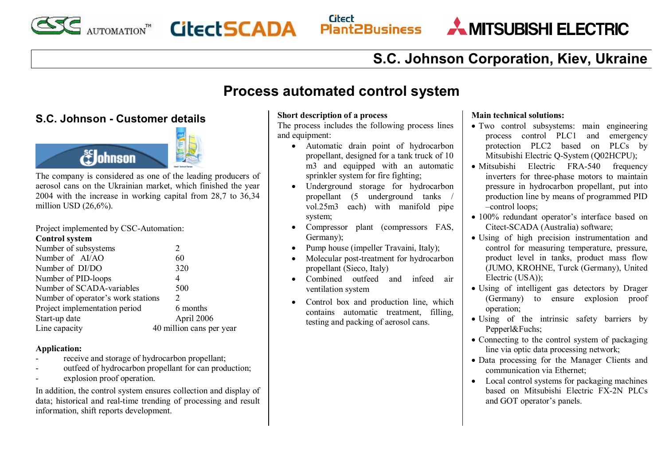

**ESS AUTOMATION" CitectSCADA** 

#### **Citect Plant2Business**

MITSUBISHI ELECTRIC

# **S.C. Johnson Corporation, Kiev, Ukraine**

## **Process automated control system**

### **S.C. Johnson - Customer details**





The company is considered as one of the leading producers of aerosol cans on the Ukrainian market, which finished the year 2004 with the increase in working capital from 28,7 to 36,34 million USD (26,6%).

Project implemented by CSC-Automation: **Control system** 

| Number of subsystems               |                             |
|------------------------------------|-----------------------------|
| Number of AI/AO                    | 60                          |
| Number of DI/DO                    | 320                         |
| Number of PID-loops                | 4                           |
| Number of SCADA-variables          | 500                         |
| Number of operator's work stations | $\mathcal{D}_{\mathcal{L}}$ |
| Project implementation period      | 6 months                    |
| Start-up date                      | April 2006                  |
| Line capacity                      | 40 million cans per year    |

#### **Application:**

- receive and storage of hydrocarbon propellant;
- outfeed of hydrocarbon propellant for can production;
- explosion proof operation.

In addition, the control system ensures collection and display of data; historical and real-time trending of processing and result information, shift reports development.

#### **Short description of a process**

The process includes the following process lines and equipment:

- · Automatic drain point of hydrocarbon propellant, designed for a tank truck of 10 m3 and equipped with an automatic sprinkler system for fire fighting;
- Underground storage for hydrocarbon propellant (5 underground tanks / vol.25m3 each) with manifold pipe system;
- Compressor plant (compressors FAS, Germany);
- Pump house (impeller Travaini, Italy);
- Molecular post-treatment for hydrocarbon propellant (Sieco, Italy)
- · Combined outfeed and infeed air ventilation system
- · Control box and production line, which contains automatic treatment, filling, testing and packing of aerosol cans.

#### **Main technical solutions:**

- · Two control subsystems: main engineering process control PLC1 and emergency protection PLC2 based on PLCs by Mitsubishi Electric Q-System (Q02HCPU);
- Mitsubishi Electric FRA-540 frequency inverters for three-phase motors to maintain pressure in hydrocarbon propellant, put into production line by means of programmed PID –control loops;
- · 100% redundant operator's interface based on Citect-SCADA (Australia) software;
- · Using of high precision instrumentation and control for measuring temperature, pressure, product level in tanks, product mass flow (JUMO, KROHNE, Turck (Germany), United Electric (USA));
- · Using of intelligent gas detectors by Drager (Germany) to ensure explosion proof operation;
- Using of the intrinsic safety barriers by Pepperl&Fuchs;
- Connecting to the control system of packaging line via optic data processing network;
- · Data processing for the Manager Clients and communication via Ethernet;
- Local control systems for packaging machines based on Mitsubishi Electric FX-2N PLCs and GOT operator's panels.